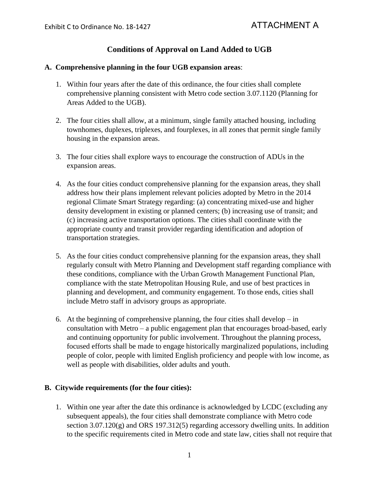# **Conditions of Approval on Land Added to UGB**

#### **A. Comprehensive planning in the four UGB expansion areas**:

- 1. Within four years after the date of this ordinance, the four cities shall complete comprehensive planning consistent with Metro code section 3.07.1120 (Planning for Areas Added to the UGB).
- 2. The four cities shall allow, at a minimum, single family attached housing, including townhomes, duplexes, triplexes, and fourplexes, in all zones that permit single family housing in the expansion areas.
- 3. The four cities shall explore ways to encourage the construction of ADUs in the expansion areas.
- 4. As the four cities conduct comprehensive planning for the expansion areas, they shall address how their plans implement relevant policies adopted by Metro in the 2014 regional Climate Smart Strategy regarding: (a) concentrating mixed-use and higher density development in existing or planned centers; (b) increasing use of transit; and (c) increasing active transportation options. The cities shall coordinate with the appropriate county and transit provider regarding identification and adoption of transportation strategies.
- 5. As the four cities conduct comprehensive planning for the expansion areas, they shall regularly consult with Metro Planning and Development staff regarding compliance with these conditions, compliance with the Urban Growth Management Functional Plan, compliance with the state Metropolitan Housing Rule, and use of best practices in planning and development, and community engagement. To those ends, cities shall include Metro staff in advisory groups as appropriate.
- consultation with Metro a public engagement plan that encourages broad-based, early 6. At the beginning of comprehensive planning, the four cities shall develop – in and continuing opportunity for public involvement. Throughout the planning process, focused efforts shall be made to engage historically marginalized populations, including people of color, people with limited English proficiency and people with low income, as well as people with disabilities, older adults and youth.

#### **B. Citywide requirements (for the four cities):**

 subsequent appeals), the four cities shall demonstrate compliance with Metro code section 3.07.120(g) and ORS 197.312(5) regarding accessory dwelling units. In addition 1. Within one year after the date this ordinance is acknowledged by LCDC (excluding any to the specific requirements cited in Metro code and state law, cities shall not require that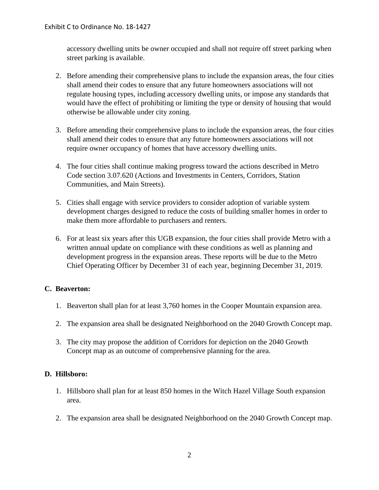accessory dwelling units be owner occupied and shall not require off street parking when street parking is available.

- 2. Before amending their comprehensive plans to include the expansion areas, the four cities shall amend their codes to ensure that any future homeowners associations will not regulate housing types, including accessory dwelling units, or impose any standards that would have the effect of prohibiting or limiting the type or density of housing that would otherwise be allowable under city zoning.
- 3. Before amending their comprehensive plans to include the expansion areas, the four cities shall amend their codes to ensure that any future homeowners associations will not require owner occupancy of homes that have accessory dwelling units.
- 4. The four cities shall continue making progress toward the actions described in Metro Code section 3.07.620 (Actions and Investments in Centers, Corridors, Station Communities, and Main Streets).
- 5. Cities shall engage with service providers to consider adoption of variable system development charges designed to reduce the costs of building smaller homes in order to make them more affordable to purchasers and renters.
- 6. For at least six years after this UGB expansion, the four cities shall provide Metro with a written annual update on compliance with these conditions as well as planning and development progress in the expansion areas. These reports will be due to the Metro Chief Operating Officer by December 31 of each year, beginning December 31, 2019.

## **C. Beaverton:**

- 1. Beaverton shall plan for at least 3,760 homes in the Cooper Mountain expansion area.
- 2. The expansion area shall be designated Neighborhood on the 2040 Growth Concept map.
- 3. The city may propose the addition of Corridors for depiction on the 2040 Growth Concept map as an outcome of comprehensive planning for the area.

## **D. Hillsboro:**

- 1. Hillsboro shall plan for at least 850 homes in the Witch Hazel Village South expansion area.
- 2. The expansion area shall be designated Neighborhood on the 2040 Growth Concept map.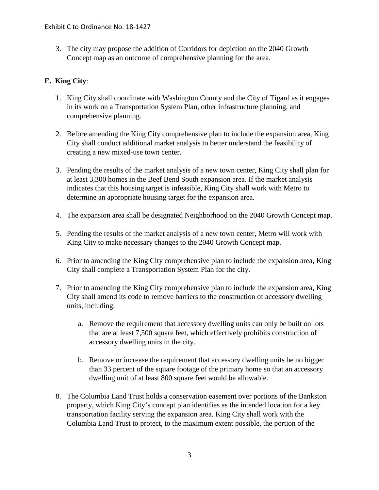3. The city may propose the addition of Corridors for depiction on the 2040 Growth Concept map as an outcome of comprehensive planning for the area.

#### **E. King City**:

- 1. King City shall coordinate with Washington County and the City of Tigard as it engages in its work on a Transportation System Plan, other infrastructure planning, and comprehensive planning.
- 2. Before amending the King City comprehensive plan to include the expansion area, King City shall conduct additional market analysis to better understand the feasibility of creating a new mixed-use town center.
- 3. Pending the results of the market analysis of a new town center, King City shall plan for at least 3,300 homes in the Beef Bend South expansion area. If the market analysis indicates that this housing target is infeasible, King City shall work with Metro to determine an appropriate housing target for the expansion area.
- 4. The expansion area shall be designated Neighborhood on the 2040 Growth Concept map.
- 5. Pending the results of the market analysis of a new town center, Metro will work with King City to make necessary changes to the 2040 Growth Concept map.
- 6. Prior to amending the King City comprehensive plan to include the expansion area, King City shall complete a Transportation System Plan for the city.
- 7. Prior to amending the King City comprehensive plan to include the expansion area, King City shall amend its code to remove barriers to the construction of accessory dwelling units, including:
	- a. Remove the requirement that accessory dwelling units can only be built on lots that are at least 7,500 square feet, which effectively prohibits construction of accessory dwelling units in the city.
	- b. Remove or increase the requirement that accessory dwelling units be no bigger than 33 percent of the square footage of the primary home so that an accessory dwelling unit of at least 800 square feet would be allowable.
- property, which King City's concept plan identifies as the intended location for a key 8. The Columbia Land Trust holds a conservation easement over portions of the Bankston transportation facility serving the expansion area. King City shall work with the Columbia Land Trust to protect, to the maximum extent possible, the portion of the